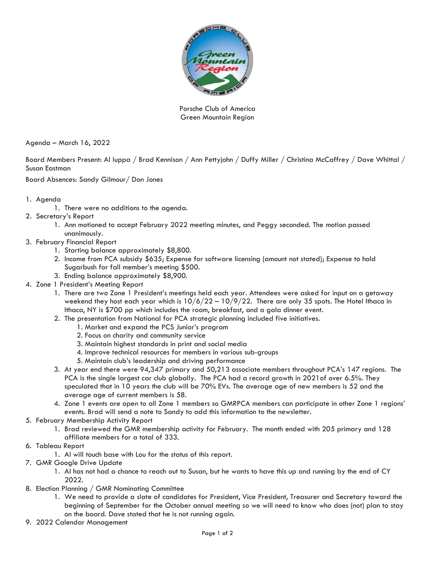

Porsche Club of America Green Mountain Region

Agenda – March 16, 2022

Board Members Present: Al Iuppa / Brad Kennison / Ann Pettyjohn / Duffy Miller / Christina McCaffrey / Dave Whittal / Susan Eastman

Board Absences: Sandy Gilmour/ Don Jones

- 1. Agenda
	- 1. There were no additions to the agenda.
- 2. Secretary's Report
	- 1. Ann motioned to accept February 2022 meeting minutes, and Peggy seconded. The motion passed unanimously.
- 3. February Financial Report
	- 1. Starting balance approximately \$8,800.
	- 2. Income from PCA subsidy \$635; Expense for software licensing (amount not stated); Expense to hold Sugarbush for fall member's meeting \$500.
	- 3. Ending balance approximately \$8,900.
- 4. Zone 1 President's Meeting Report
	- 1. There are two Zone 1 President's meetings held each year. Attendees were asked for input on a getaway weekend they host each year which is  $10/6/22 - 10/9/22$ . There are only 35 spots. The Hotel Ithaca in Ithaca, NY is \$700 pp which includes the room, breakfast, and a gala dinner event.
	- 2. The presentation from National for PCA strategic planning included five initiatives.
		- 1. Market and expand the PCS Junior's program
		- 2. Focus on charity and community service
		- 3. Maintain highest standards in print and social media
		- 4. Improve technical resources for members in various sub-groups
		- 5. Maintain club's leadership and driving performance
	- 3. At year end there were 94,347 primary and 50,213 associate members throughout PCA's 147 regions. The PCA is the single largest car club globally. The PCA had a record growth in 2021of over 6.5%. They speculated that in 10 years the club will be 70% EVs. The average age of new members is 52 and the average age of current members is 58.
	- 4. Zone 1 events are open to all Zone 1 members so GMRPCA members can participate in other Zone 1 regions' events. Brad will send a note to Sandy to add this information to the newsletter.
- 5. February Membership Activity Report
	- 1. Brad reviewed the GMR membership activity for February. The month ended with 205 primary and 128 affiliate members for a total of 333.
- 6. Tableau Report
	- 1. Al will touch base with Lou for the status of this report.
- 7. GMR Google Drive Update
	- 1. Al has not had a chance to reach out to Susan, but he wants to have this up and running by the end of CY 2022.
- 8. Election Planning / GMR Nominating Committee
	- 1. We need to provide a slate of candidates for President, Vice President, Treasurer and Secretary toward the beginning of September for the October annual meeting so we will need to know who does (not) plan to stay on the board. Dave stated that he is not running again.
- 9. 2022 Calendar Management